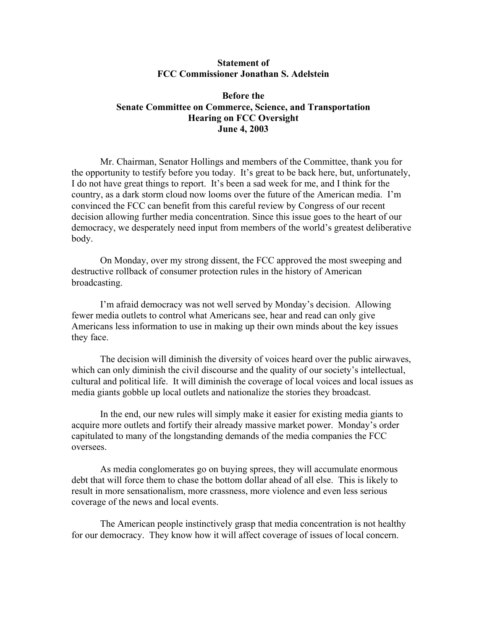## **Statement of FCC Commissioner Jonathan S. Adelstein**

## **Before the Senate Committee on Commerce, Science, and Transportation Hearing on FCC Oversight June 4, 2003**

Mr. Chairman, Senator Hollings and members of the Committee, thank you for the opportunity to testify before you today. It's great to be back here, but, unfortunately, I do not have great things to report. It's been a sad week for me, and I think for the country, as a dark storm cloud now looms over the future of the American media. I'm convinced the FCC can benefit from this careful review by Congress of our recent decision allowing further media concentration. Since this issue goes to the heart of our democracy, we desperately need input from members of the world's greatest deliberative body.

On Monday, over my strong dissent, the FCC approved the most sweeping and destructive rollback of consumer protection rules in the history of American broadcasting.

I'm afraid democracy was not well served by Monday's decision. Allowing fewer media outlets to control what Americans see, hear and read can only give Americans less information to use in making up their own minds about the key issues they face.

The decision will diminish the diversity of voices heard over the public airwaves, which can only diminish the civil discourse and the quality of our society's intellectual, cultural and political life. It will diminish the coverage of local voices and local issues as media giants gobble up local outlets and nationalize the stories they broadcast.

In the end, our new rules will simply make it easier for existing media giants to acquire more outlets and fortify their already massive market power. Monday's order capitulated to many of the longstanding demands of the media companies the FCC oversees.

As media conglomerates go on buying sprees, they will accumulate enormous debt that will force them to chase the bottom dollar ahead of all else. This is likely to result in more sensationalism, more crassness, more violence and even less serious coverage of the news and local events.

The American people instinctively grasp that media concentration is not healthy for our democracy. They know how it will affect coverage of issues of local concern.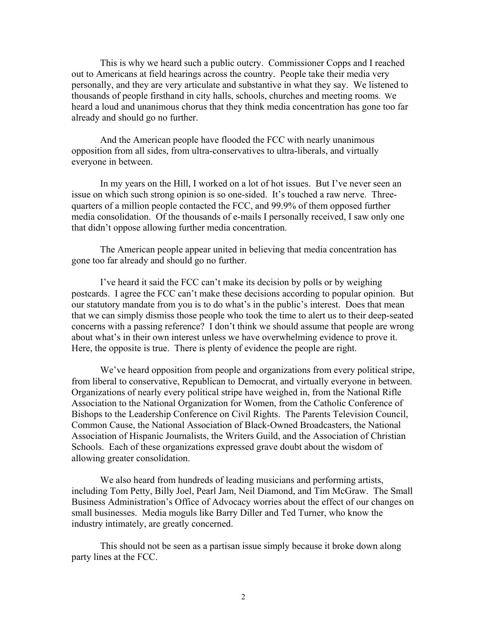This is why we heard such a public outcry. Commissioner Copps and I reached out to Americans at field hearings across the country. People take their media very personally, and they are very articulate and substantive in what they say. We listened to thousands of people firsthand in city halls, schools, churches and meeting rooms. We heard a loud and unanimous chorus that they think media concentration has gone too far already and should go no further.

And the American people have flooded the FCC with nearly unanimous opposition from all sides, from ultra-conservatives to ultra-liberals, and virtually everyone in between.

In my years on the Hill, I worked on a lot of hot issues. But I've never seen an issue on which such strong opinion is so one-sided. It's touched a raw nerve. Threequarters of a million people contacted the FCC, and 99.9% of them opposed further media consolidation. Of the thousands of e-mails I personally received, I saw only one that didn't oppose allowing further media concentration.

The American people appear united in believing that media concentration has gone too far already and should go no further.

I've heard it said the FCC can't make its decision by polls or by weighing postcards. I agree the FCC can't make these decisions according to popular opinion. But our statutory mandate from you is to do what's in the public's interest. Does that mean that we can simply dismiss those people who took the time to alert us to their deep-seated concerns with a passing reference? I don't think we should assume that people are wrong about what's in their own interest unless we have overwhelming evidence to prove it. Here, the opposite is true. There is plenty of evidence the people are right.

We've heard opposition from people and organizations from every political stripe, from liberal to conservative, Republican to Democrat, and virtually everyone in between. Organizations of nearly every political stripe have weighed in, from the National Rifle Association to the National Organization for Women, from the Catholic Conference of Bishops to the Leadership Conference on Civil Rights. The Parents Television Council, Common Cause, the National Association of Black-Owned Broadcasters, the National Association of Hispanic Journalists, the Writers Guild, and the Association of Christian Schools. Each of these organizations expressed grave doubt about the wisdom of allowing greater consolidation.

We also heard from hundreds of leading musicians and performing artists, including Tom Petty, Billy Joel, Pearl Jam, Neil Diamond, and Tim McGraw. The Small Business Administration's Office of Advocacy worries about the effect of our changes on small businesses. Media moguls like Barry Diller and Ted Turner, who know the industry intimately, are greatly concerned.

This should not be seen as a partisan issue simply because it broke down along party lines at the FCC.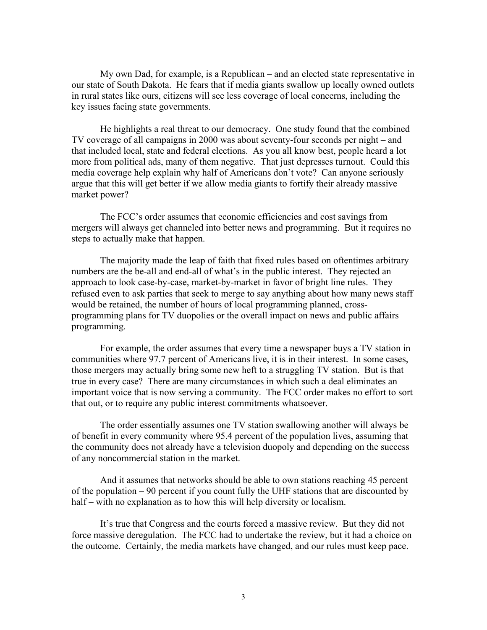My own Dad, for example, is a Republican – and an elected state representative in our state of South Dakota. He fears that if media giants swallow up locally owned outlets in rural states like ours, citizens will see less coverage of local concerns, including the key issues facing state governments.

He highlights a real threat to our democracy. One study found that the combined TV coverage of all campaigns in 2000 was about seventy-four seconds per night – and that included local, state and federal elections. As you all know best, people heard a lot more from political ads, many of them negative. That just depresses turnout. Could this media coverage help explain why half of Americans don't vote? Can anyone seriously argue that this will get better if we allow media giants to fortify their already massive market power?

The FCC's order assumes that economic efficiencies and cost savings from mergers will always get channeled into better news and programming. But it requires no steps to actually make that happen.

The majority made the leap of faith that fixed rules based on oftentimes arbitrary numbers are the be-all and end-all of what's in the public interest. They rejected an approach to look case-by-case, market-by-market in favor of bright line rules. They refused even to ask parties that seek to merge to say anything about how many news staff would be retained, the number of hours of local programming planned, crossprogramming plans for TV duopolies or the overall impact on news and public affairs programming.

For example, the order assumes that every time a newspaper buys a TV station in communities where 97.7 percent of Americans live, it is in their interest. In some cases, those mergers may actually bring some new heft to a struggling TV station. But is that true in every case? There are many circumstances in which such a deal eliminates an important voice that is now serving a community. The FCC order makes no effort to sort that out, or to require any public interest commitments whatsoever.

 The order essentially assumes one TV station swallowing another will always be of benefit in every community where 95.4 percent of the population lives, assuming that the community does not already have a television duopoly and depending on the success of any noncommercial station in the market.

And it assumes that networks should be able to own stations reaching 45 percent of the population – 90 percent if you count fully the UHF stations that are discounted by half – with no explanation as to how this will help diversity or localism.

It's true that Congress and the courts forced a massive review. But they did not force massive deregulation. The FCC had to undertake the review, but it had a choice on the outcome. Certainly, the media markets have changed, and our rules must keep pace.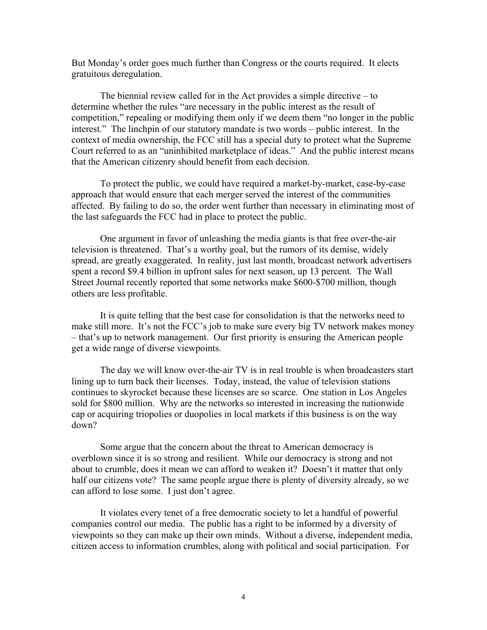But Monday's order goes much further than Congress or the courts required. It elects gratuitous deregulation.

The biennial review called for in the Act provides a simple directive – to determine whether the rules "are necessary in the public interest as the result of competition," repealing or modifying them only if we deem them "no longer in the public interest." The linchpin of our statutory mandate is two words – public interest. In the context of media ownership, the FCC still has a special duty to protect what the Supreme Court referred to as an "uninhibited marketplace of ideas." And the public interest means that the American citizenry should benefit from each decision.

To protect the public, we could have required a market-by-market, case-by-case approach that would ensure that each merger served the interest of the communities affected. By failing to do so, the order went further than necessary in eliminating most of the last safeguards the FCC had in place to protect the public.

One argument in favor of unleashing the media giants is that free over-the-air television is threatened. That's a worthy goal, but the rumors of its demise, widely spread, are greatly exaggerated. In reality, just last month, broadcast network advertisers spent a record \$9.4 billion in upfront sales for next season, up 13 percent. The Wall Street Journal recently reported that some networks make \$600-\$700 million, though others are less profitable.

It is quite telling that the best case for consolidation is that the networks need to make still more. It's not the FCC's job to make sure every big TV network makes money – that's up to network management. Our first priority is ensuring the American people get a wide range of diverse viewpoints.

The day we will know over-the-air TV is in real trouble is when broadcasters start lining up to turn back their licenses. Today, instead, the value of television stations continues to skyrocket because these licenses are so scarce. One station in Los Angeles sold for \$800 million. Why are the networks so interested in increasing the nationwide cap or acquiring triopolies or duopolies in local markets if this business is on the way down?

Some argue that the concern about the threat to American democracy is overblown since it is so strong and resilient. While our democracy is strong and not about to crumble, does it mean we can afford to weaken it? Doesn't it matter that only half our citizens vote? The same people argue there is plenty of diversity already, so we can afford to lose some. I just don't agree.

It violates every tenet of a free democratic society to let a handful of powerful companies control our media. The public has a right to be informed by a diversity of viewpoints so they can make up their own minds. Without a diverse, independent media, citizen access to information crumbles, along with political and social participation. For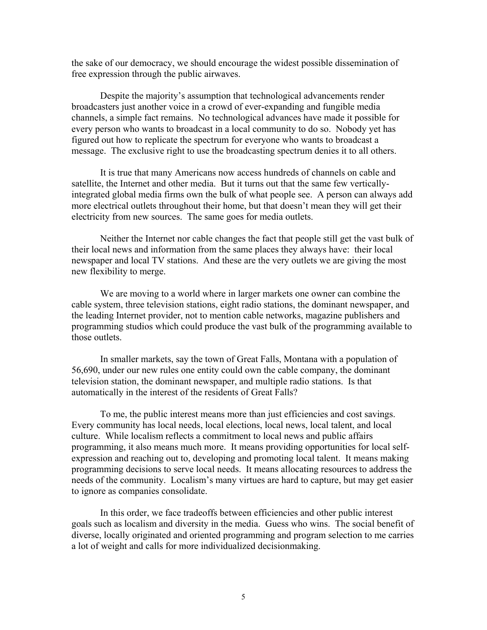the sake of our democracy, we should encourage the widest possible dissemination of free expression through the public airwaves.

Despite the majority's assumption that technological advancements render broadcasters just another voice in a crowd of ever-expanding and fungible media channels, a simple fact remains. No technological advances have made it possible for every person who wants to broadcast in a local community to do so. Nobody yet has figured out how to replicate the spectrum for everyone who wants to broadcast a message. The exclusive right to use the broadcasting spectrum denies it to all others.

 It is true that many Americans now access hundreds of channels on cable and satellite, the Internet and other media. But it turns out that the same few verticallyintegrated global media firms own the bulk of what people see. A person can always add more electrical outlets throughout their home, but that doesn't mean they will get their electricity from new sources. The same goes for media outlets.

Neither the Internet nor cable changes the fact that people still get the vast bulk of their local news and information from the same places they always have: their local newspaper and local TV stations. And these are the very outlets we are giving the most new flexibility to merge.

We are moving to a world where in larger markets one owner can combine the cable system, three television stations, eight radio stations, the dominant newspaper, and the leading Internet provider, not to mention cable networks, magazine publishers and programming studios which could produce the vast bulk of the programming available to those outlets.

In smaller markets, say the town of Great Falls, Montana with a population of 56,690, under our new rules one entity could own the cable company, the dominant television station, the dominant newspaper, and multiple radio stations. Is that automatically in the interest of the residents of Great Falls?

 To me, the public interest means more than just efficiencies and cost savings. Every community has local needs, local elections, local news, local talent, and local culture. While localism reflects a commitment to local news and public affairs programming, it also means much more. It means providing opportunities for local selfexpression and reaching out to, developing and promoting local talent. It means making programming decisions to serve local needs. It means allocating resources to address the needs of the community. Localism's many virtues are hard to capture, but may get easier to ignore as companies consolidate.

In this order, we face tradeoffs between efficiencies and other public interest goals such as localism and diversity in the media. Guess who wins. The social benefit of diverse, locally originated and oriented programming and program selection to me carries a lot of weight and calls for more individualized decisionmaking.